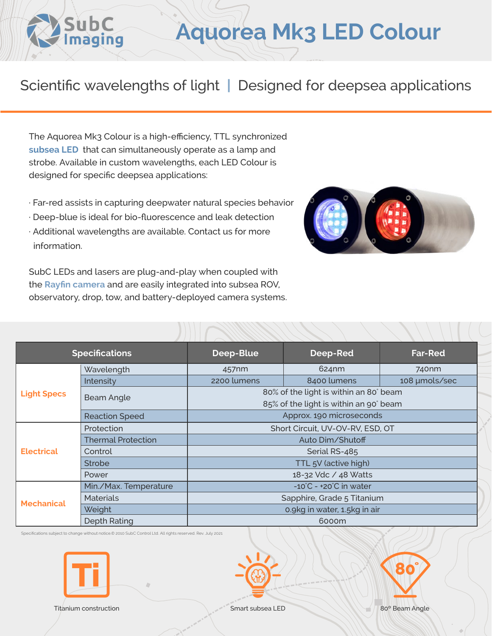## **Aquorea Mk3 LED Colour**

## Scientific wavelengths of light **|** Designed for deepsea applications

The Aquorea Mk3 Colour is a high-efficiency, TTL synchronized **[subsea LED](https://www.subcimaging.com/aquorea-led-colour)** that can simultaneously operate as a lamp and strobe. Available in custom wavelengths, each LED Colour is designed for specific deepsea applications:

SubC<br>Imaging

- · Far-red assists in capturing deepwater natural species behavior
- · Deep-blue is ideal for bio-fluorescence and leak detection
- · Additional wavelengths are available. Contact us for more information.

SubC LEDs and lasers are plug-and-play when coupled with the **[Rayfin camera](https://www.subcimaging.com/rayfin-liquidoptics)** and are easily integrated into subsea ROV, observatory, drop, tow, and battery-deployed camera systems.



| <b>Specifications</b> |                           | Deep-Blue                                  | Deep-Red    | <b>Far-Red</b>    |
|-----------------------|---------------------------|--------------------------------------------|-------------|-------------------|
| <b>Light Specs</b>    | Wavelength                | 457nm                                      | 624nm       | 740 <sub>nm</sub> |
|                       | Intensity                 | 2200 lumens                                | 8400 lumens | 108 µmols/sec     |
|                       | Beam Angle                | 80% of the light is within an 80° beam     |             |                   |
|                       |                           | 85% of the light is within an 90° beam     |             |                   |
|                       | <b>Reaction Speed</b>     | Approx. 190 microseconds                   |             |                   |
| <b>Electrical</b>     | Protection                | Short Circuit, UV-OV-RV, ESD, OT           |             |                   |
|                       | <b>Thermal Protection</b> | Auto Dim/Shutoff                           |             |                   |
|                       | Control                   | Serial RS-485                              |             |                   |
|                       | <b>Strobe</b>             | TTL 5V (active high)                       |             |                   |
|                       | Power                     | 18-32 Vdc / 48 Watts                       |             |                   |
| <b>Mechanical</b>     | Min./Max. Temperature     | $-10^{\circ}$ C - $+20^{\circ}$ C in water |             |                   |
|                       | <b>Materials</b>          | Sapphire, Grade 5 Titanium                 |             |                   |
|                       | Weight                    | 0.9kg in water, 1.5kg in air               |             |                   |
|                       | <b>Depth Rating</b>       | 6000m                                      |             |                   |

Specifications subject to change without notice.© 2010 SubC Control Ltd. All rights reserved. Rev. July 2021







Titanium construction Smart subsea LED 80° Beam Angle